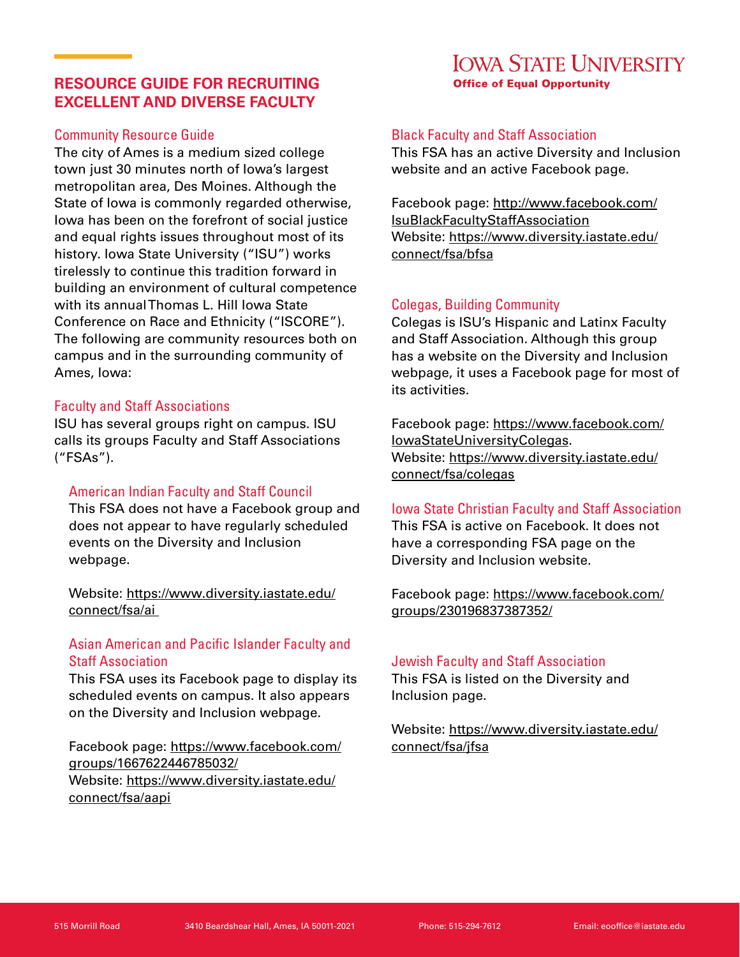# **RESOURCE GUIDE FOR RECRUITING EXCELLENT AND DIVERSE FACULTY**

# Community Resource Guide

The city of Ames is a medium sized college town just 30 minutes north of Iowa's largest metropolitan area, Des Moines. Although the State of Iowa is commonly regarded otherwise, Iowa has been on the forefront of social justice and equal rights issues throughout most of its history. Iowa State University ("ISU") works tirelessly to continue this tradition forward in building an environment of cultural competence with its annual Thomas L. Hill Iowa State Conference on Race and Ethnicity ("ISCORE"). The following are community resources both on campus and in the surrounding community of Ames, Iowa:

## Faculty and Staff Associations

ISU has several groups right on campus. ISU calls its groups Faculty and Staff Associations ("FSAs").

## American Indian Faculty and Staff Council

This FSA does not have a Facebook group and does not appear to have regularly scheduled events on the Diversity and Inclusion webpage.

Website: [https://www.diversity.iastate.edu/](https://www.diversity.iastate.edu/connect/fsa/ai ) [connect/fsa/ai](https://www.diversity.iastate.edu/connect/fsa/ai ) 

# Asian American and Pacific Islander Faculty and Staff Association

This FSA uses its Facebook page to display its scheduled events on campus. It also appears on the Diversity and Inclusion webpage.

Facebook page: [https://www.facebook.com/](https://www.facebook.com/groups/1667622446785032/) [groups/1667622446785032/](https://www.facebook.com/groups/1667622446785032/) Website: [https://www.diversity.iastate.edu/](https://www.diversity.iastate.edu/connect/fsa/aap) [connect/fsa/aap](https://www.diversity.iastate.edu/connect/fsa/aap)i

# Black Faculty and Staff Association

This FSA has an active Diversity and Inclusion website and an active Facebook page.

**Office of Equal Opportunity** 

**IOWA STATE UNIVERSITY** 

Facebook page: [http://www.facebook.com/](http://www.facebook.com/IsuBlackFacultyStaffAssociation) [IsuBlackFacultyStaffAssociation](http://www.facebook.com/IsuBlackFacultyStaffAssociation) Website: [https://www.diversity.iastate.edu/](https://www.diversity.iastate.edu/connect/fsa/bfsa) [connect/fsa/bfsa](https://www.diversity.iastate.edu/connect/fsa/bfsa)

## Colegas, Building Community

Colegas is ISU's Hispanic and Latinx Faculty and Staff Association. Although this group has a website on the Diversity and Inclusion webpage, it uses a Facebook page for most of its activities.

Facebook page: [https://www.facebook.com/](https://www.facebook.com/IowaStateUniversityColegas) [IowaStateUniversityColegas.](https://www.facebook.com/IowaStateUniversityColegas) Website: [https://www.diversity.iastate.edu/](https://www.diversity.iastate.edu/connect/fsa/colegas ) [connect/fsa/colegas](https://www.diversity.iastate.edu/connect/fsa/colegas )

Iowa State Christian Faculty and Staff Association This FSA is active on Facebook. It does not have a corresponding FSA page on the Diversity and Inclusion website.

Facebook page: [https://www.facebook.com/](https://www.facebook.com/groups/230196837387352/ ) [groups/230196837387352/](https://www.facebook.com/groups/230196837387352/ )

## Jewish Faculty and Staff Association

This FSA is listed on the Diversity and Inclusion page.

Website: [https://www.diversity.iastate.edu/](https://www.diversity.iastate.edu/connect/fsa/jfsa) [connect/fsa/jfsa](https://www.diversity.iastate.edu/connect/fsa/jfsa)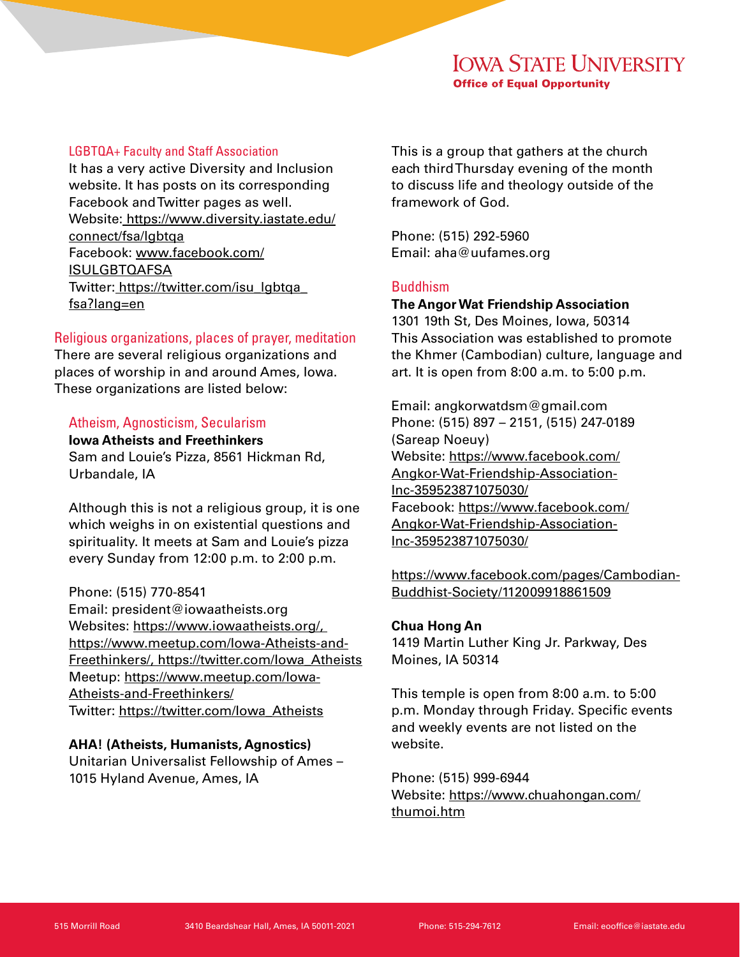#### LGBTQA+ Faculty and Staff Association

It has a very active Diversity and Inclusion website. It has posts on its corresponding Facebook and Twitter pages as well. Website: [https://www.diversity.iastate.edu/](https://www.diversity.iastate.edu/connect/fsa/lgbtqa ) [connect/fsa/lgbtqa](https://www.diversity.iastate.edu/connect/fsa/lgbtqa ) Facebook: [www.facebook.com/](http://www.facebook.com/ISULGBTQAFSA ) [ISULGBTQAFSA](http://www.facebook.com/ISULGBTQAFSA ) Twitter: [https://twitter.com/isu\\_lgbtqa\\_](https://twitter.com/isu_lgbtqa_fsa?lang=en) [fsa?lang=en](https://twitter.com/isu_lgbtqa_fsa?lang=en)

## Religious organizations, places of prayer, meditation

There are several religious organizations and places of worship in and around Ames, Iowa. These organizations are listed below:

#### Atheism, Agnosticism, Secularism

**Iowa Atheists and Freethinkers** Sam and Louie's Pizza, 8561 Hickman Rd, Urbandale, IA

Although this is not a religious group, it is one which weighs in on existential questions and spirituality. It meets at Sam and Louie's pizza every Sunday from 12:00 p.m. to 2:00 p.m.

#### Phone: (515) 770-8541

Email: president@iowaatheists.org Websites: [https://www.iowaatheists.org/,](https://www.iowaatheists.org/, https://www.meetup.com/Iowa-Atheists-and-Freethinkers/, https://twitter.com/Iowa_Atheists )  [https://www.meetup.com/Iowa-Atheists-and-](https://www.iowaatheists.org/, https://www.meetup.com/Iowa-Atheists-and-Freethinkers/, https://twitter.com/Iowa_Atheists )[Freethinkers/, https://twitter.com/Iowa\\_Atheists](https://www.iowaatheists.org/, https://www.meetup.com/Iowa-Atheists-and-Freethinkers/, https://twitter.com/Iowa_Atheists ) [Meetup: https://www.meetup.com/Iowa-](https://www.iowaatheists.org/, https://www.meetup.com/Iowa-Atheists-and-Freethinkers/, https://twitter.com/Iowa_Atheists )[Atheists-and-Freethinkers/](https://www.iowaatheists.org/, https://www.meetup.com/Iowa-Atheists-and-Freethinkers/, https://twitter.com/Iowa_Atheists ) [Twitter: https://twitter.com/Iowa\\_Atheists](https://www.iowaatheists.org/, https://www.meetup.com/Iowa-Atheists-and-Freethinkers/, https://twitter.com/Iowa_Atheists )

#### **[AHA! \(Atheists, Humanists, Agnostics\)](https://www.iowaatheists.org/, https://www.meetup.com/Iowa-Atheists-and-Freethinkers/, https://twitter.com/Iowa_Atheists )**

[Unitarian Universalist Fellowship of Ames –](https://www.iowaatheists.org/, https://www.meetup.com/Iowa-Atheists-and-Freethinkers/, https://twitter.com/Iowa_Atheists )  [1015 Hyland Avenue, Ames, IA](https://www.iowaatheists.org/, https://www.meetup.com/Iowa-Atheists-and-Freethinkers/, https://twitter.com/Iowa_Atheists )

[This is a group that gathers at the church](https://www.iowaatheists.org/, https://www.meetup.com/Iowa-Atheists-and-Freethinkers/, https://twitter.com/Iowa_Atheists )  [each third Thursday evening of the month](https://www.iowaatheists.org/, https://www.meetup.com/Iowa-Atheists-and-Freethinkers/, https://twitter.com/Iowa_Atheists )  [to discuss life and theology outside of the](https://www.iowaatheists.org/, https://www.meetup.com/Iowa-Atheists-and-Freethinkers/, https://twitter.com/Iowa_Atheists )  [framework of God.](https://www.iowaatheists.org/, https://www.meetup.com/Iowa-Atheists-and-Freethinkers/, https://twitter.com/Iowa_Atheists )

[Phone: \(515\) 292-5960](https://www.iowaatheists.org/, https://www.meetup.com/Iowa-Atheists-and-Freethinkers/, https://twitter.com/Iowa_Atheists ) [Email: aha@uufames.org](https://www.iowaatheists.org/, https://www.meetup.com/Iowa-Atheists-and-Freethinkers/, https://twitter.com/Iowa_Atheists )

#### Buddhism

## **The Angor Wat Friendship Association**

1301 19th St, Des Moines, Iowa, 50314 This Association was established to promote the Khmer (Cambodian) culture, language and art. It is open from 8:00 a.m. to 5:00 p.m.

Email: angkorwatdsm@gmail.com Phone: (515) 897 – 2151, (515) 247-0189 (Sareap Noeuy) Website: [https://www.facebook.com/](https://www.facebook.com/Angkor-Wat-Friendship-Association-Inc-359523871075030/ https://www.facebook.com/pages/Cambodian-Buddhist-Society/112009918861509 ) [Angkor-Wat-Friendship-Association-](https://www.facebook.com/Angkor-Wat-Friendship-Association-Inc-359523871075030/ https://www.facebook.com/pages/Cambodian-Buddhist-Society/112009918861509 )[Inc-359523871075030/](https://www.facebook.com/Angkor-Wat-Friendship-Association-Inc-359523871075030/ https://www.facebook.com/pages/Cambodian-Buddhist-Society/112009918861509 ) [Facebook: https://www.facebook.com/](https://www.facebook.com/Angkor-Wat-Friendship-Association-Inc-359523871075030/ https://www.facebook.com/pages/Cambodian-Buddhist-Society/112009918861509 ) [Angkor-Wat-Friendship-Association-](https://www.facebook.com/Angkor-Wat-Friendship-Association-Inc-359523871075030/ https://www.facebook.com/pages/Cambodian-Buddhist-Society/112009918861509 )[Inc-359523871075030/](https://www.facebook.com/Angkor-Wat-Friendship-Association-Inc-359523871075030/ https://www.facebook.com/pages/Cambodian-Buddhist-Society/112009918861509 )

[https://www.facebook.com/pages/Cambodian-](https://www.facebook.com/Angkor-Wat-Friendship-Association-Inc-359523871075030/ https://www.facebook.com/pages/Cambodian-Buddhist-Society/112009918861509 )[Buddhist-Society/112009918861509](https://www.facebook.com/Angkor-Wat-Friendship-Association-Inc-359523871075030/ https://www.facebook.com/pages/Cambodian-Buddhist-Society/112009918861509 )

#### **Chua Hong An**

1419 Martin Luther King Jr. Parkway, Des Moines, IA 50314

This temple is open from 8:00 a.m. to 5:00 p.m. Monday through Friday. Specific events and weekly events are not listed on the website.

Phone: (515) 999-6944 Website: [https://www.chuahongan.com/](https://www.chuahongan.com/thumoi.htm) [thumoi.htm](https://www.chuahongan.com/thumoi.htm)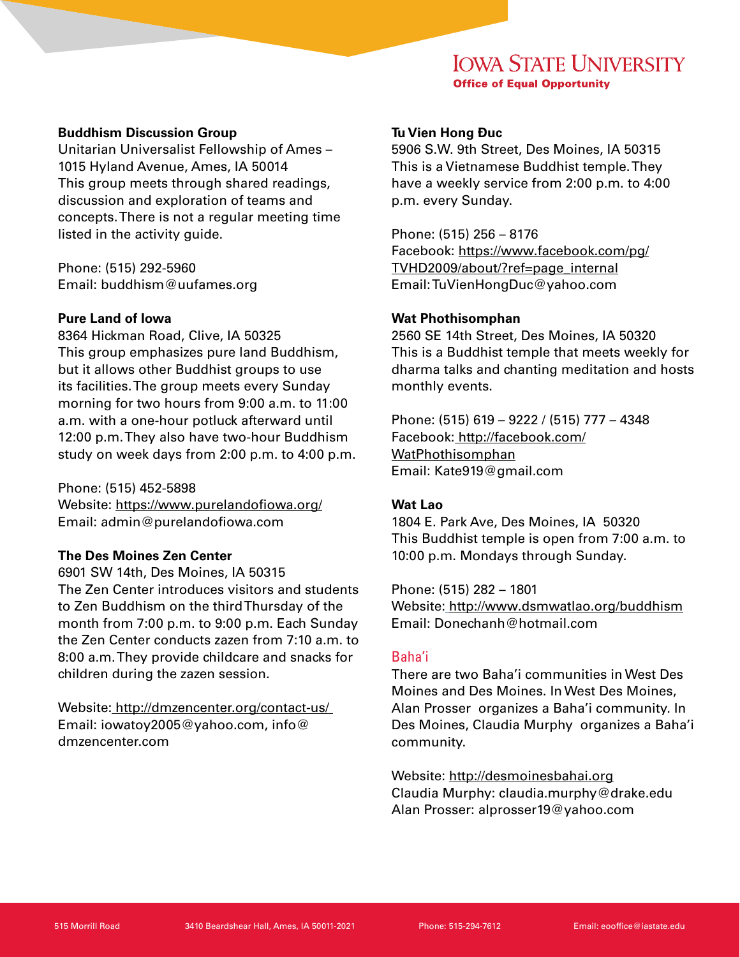#### **Buddhism Discussion Group**

Unitarian Universalist Fellowship of Ames – 1015 Hyland Avenue, Ames, IA 50014 This group meets through shared readings, discussion and exploration of teams and concepts. There is not a regular meeting time listed in the activity guide.

Phone: (515) 292-5960 Email: buddhism@uufames.org

# **Pure Land of Iowa**

8364 Hickman Road, Clive, IA 50325 This group emphasizes pure land Buddhism, but it allows other Buddhist groups to use its facilities. The group meets every Sunday morning for two hours from 9:00 a.m. to 11:00 a.m. with a one-hour potluck afterward until 12:00 p.m. They also have two-hour Buddhism study on week days from 2:00 p.m. to 4:00 p.m.

Phone: (515) 452-5898 Website: [https://www.purelandofiowa.org/](https://www.purelandofiowa.org/ ) Email: admin@purelandofiowa.com

#### **The Des Moines Zen Center**

6901 SW 14th, Des Moines, IA 50315 The Zen Center introduces visitors and students to Zen Buddhism on the third Thursday of the month from 7:00 p.m. to 9:00 p.m. Each Sunday the Zen Center conducts zazen from 7:10 a.m. to 8:00 a.m. They provide childcare and snacks for children during the zazen session.

Website: <http://dmzencenter.org/contact-us/> Email: iowatoy2005@yahoo.com, info@ dmzencenter.com

## **Tu Vien Hong Đuc**

5906 S.W. 9th Street, Des Moines, IA 50315 This is a Vietnamese Buddhist temple. They have a weekly service from 2:00 p.m. to 4:00 p.m. every Sunday.

Phone: (515) 256 – 8176 Facebook: [https://www.facebook.com/pg/](https://www.facebook.com/pg/TVHD2009/about/?ref=page_internal ) [TVHD2009/about/?ref=page\\_internal](https://www.facebook.com/pg/TVHD2009/about/?ref=page_internal ) Email: TuVienHongDuc@yahoo.com

#### **Wat Phothisomphan**

2560 SE 14th Street, Des Moines, IA 50320 This is a Buddhist temple that meets weekly for dharma talks and chanting meditation and hosts monthly events.

Phone: (515) 619 – 9222 / (515) 777 – 4348 Facebook: [http://facebook.com/](http://facebook.com/WatPhothisomphan) [WatPhothisomphan](http://facebook.com/WatPhothisomphan) Email: Kate919@gmail.com

## **Wat Lao**

1804 E. Park Ave, Des Moines, IA 50320 This Buddhist temple is open from 7:00 a.m. to 10:00 p.m. Mondays through Sunday.

Phone: (515) 282 – 1801 Website: [http://www.dsmwatlao.org/buddhism]( http://www.dsmwatlao.org/buddhism) Email: Donechanh@hotmail.com

# Baha'i

There are two Baha'i communities in West Des Moines and Des Moines. In West Des Moines, Alan Prosser organizes a Baha'i community. In Des Moines, Claudia Murphy organizes a Baha'i community.

Website: <http://desmoinesbahai.org> Claudia Murphy: claudia.murphy@drake.edu Alan Prosser: alprosser19@yahoo.com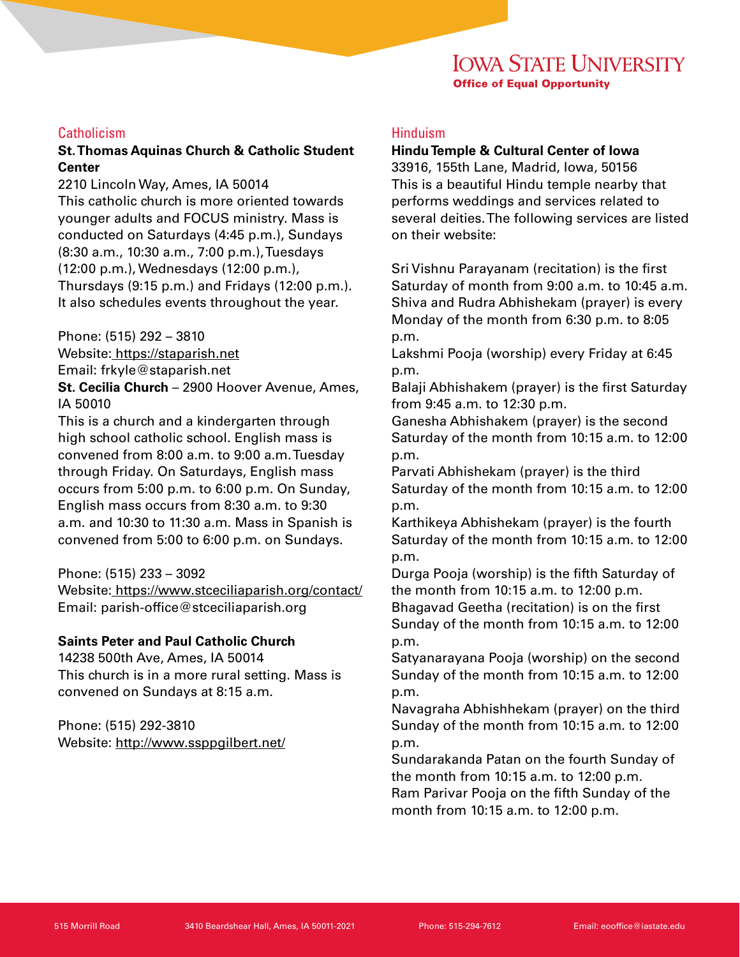## **Catholicism**

## **St. Thomas Aquinas Church & Catholic Student Center**

2210 Lincoln Way, Ames, IA 50014 This catholic church is more oriented towards younger adults and FOCUS ministry. Mass is conducted on Saturdays (4:45 p.m.), Sundays (8:30 a.m., 10:30 a.m., 7:00 p.m.), Tuesdays (12:00 p.m.), Wednesdays (12:00 p.m.), Thursdays (9:15 p.m.) and Fridays (12:00 p.m.). It also schedules events throughout the year.

Phone: (515) 292 – 3810

Website: https://staparish.net Email: frkyle@staparish.net

**St. Cecilia Church** – 2900 Hoover Avenue, Ames, IA 50010

This is a church and a kindergarten through high school catholic school. English mass is convened from 8:00 a.m. to 9:00 a.m. Tuesday through Friday. On Saturdays, English mass occurs from 5:00 p.m. to 6:00 p.m. On Sunday, English mass occurs from 8:30 a.m. to 9:30 a.m. and 10:30 to 11:30 a.m. Mass in Spanish is convened from 5:00 to 6:00 p.m. on Sundays.

#### Phone: (515) 233 – 3092

Website: [https://www.stceciliaparish.org/contact/](https://www.stceciliaparish.org/contact/ ) Email: parish-office@stceciliaparish.org

## **Saints Peter and Paul Catholic Church**

14238 500th Ave, Ames, IA 50014 This church is in a more rural setting. Mass is convened on Sundays at 8:15 a.m.

Phone: (515) 292-3810 Website: <http://www.ssppgilbert.net/>

## Hinduism

#### **Hindu Temple & Cultural Center of Iowa**

33916, 155th Lane, Madrid, Iowa, 50156 This is a beautiful Hindu temple nearby that performs weddings and services related to several deities. The following services are listed on their website:

Sri Vishnu Parayanam (recitation) is the first Saturday of month from 9:00 a.m. to 10:45 a.m. Shiva and Rudra Abhishekam (prayer) is every Monday of the month from 6:30 p.m. to 8:05 p.m.

Lakshmi Pooja (worship) every Friday at 6:45 p.m.

Balaji Abhishakem (prayer) is the first Saturday from 9:45 a.m. to 12:30 p.m.

Ganesha Abhishakem (prayer) is the second Saturday of the month from 10:15 a.m. to 12:00 p.m.

Parvati Abhishekam (prayer) is the third Saturday of the month from 10:15 a.m. to 12:00 p.m.

Karthikeya Abhishekam (prayer) is the fourth Saturday of the month from 10:15 a.m. to 12:00 p.m.

Durga Pooja (worship) is the fifth Saturday of the month from 10:15 a.m. to 12:00 p.m. Bhagavad Geetha (recitation) is on the first Sunday of the month from 10:15 a.m. to 12:00 p.m.

Satyanarayana Pooja (worship) on the second Sunday of the month from 10:15 a.m. to 12:00 p.m.

Navagraha Abhishhekam (prayer) on the third Sunday of the month from 10:15 a.m. to 12:00 p.m.

Sundarakanda Patan on the fourth Sunday of the month from 10:15 a.m. to 12:00 p.m. Ram Parivar Pooja on the fifth Sunday of the month from 10:15 a.m. to 12:00 p.m.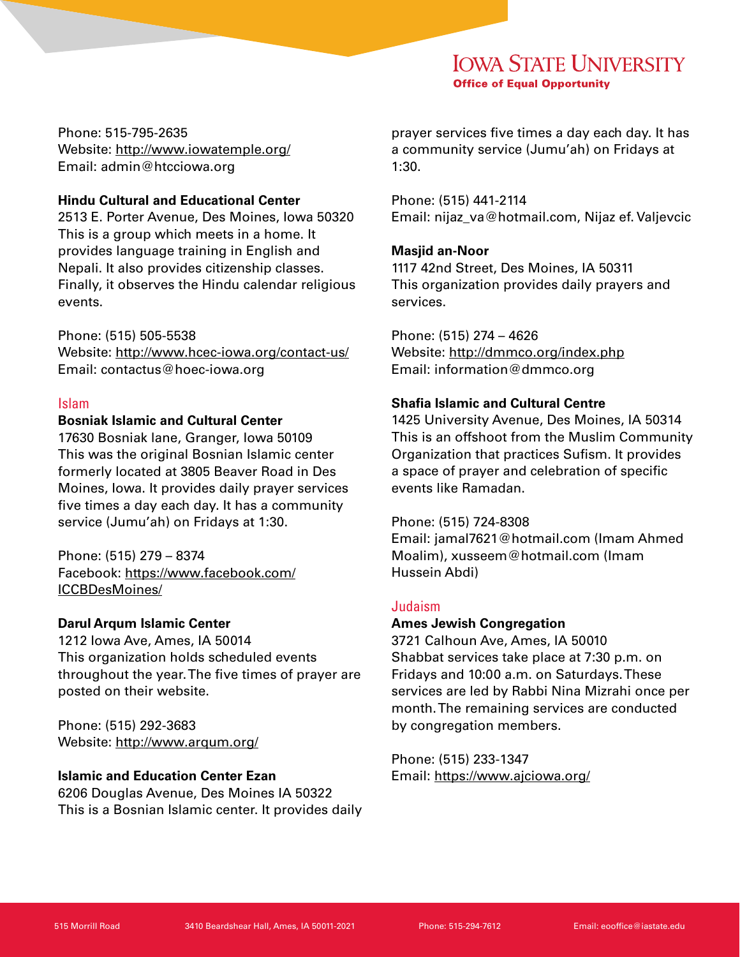Phone: 515-795-2635 Website: <http://www.iowatemple.org/> Email: admin@htcciowa.org

## **Hindu Cultural and Educational Center**

2513 E. Porter Avenue, Des Moines, Iowa 50320 This is a group which meets in a home. It provides language training in English and Nepali. It also provides citizenship classes. Finally, it observes the Hindu calendar religious events.

Phone: (515) 505-5538 Website: [http://www.hcec-iowa.org/contact-us/](http://www.hcec-iowa.org/contact-us/ ) Email: contactus@hoec-iowa.org

## Islam

# **Bosniak Islamic and Cultural Center**

17630 Bosniak lane, Granger, Iowa 50109 This was the original Bosnian Islamic center formerly located at 3805 Beaver Road in Des Moines, Iowa. It provides daily prayer services five times a day each day. It has a community service (Jumu'ah) on Fridays at 1:30.

Phone: (515) 279 – 8374 Facebook: [https://www.facebook.com/](https://www.facebook.com/ICCBDesMoines/) [ICCBDesMoines/](https://www.facebook.com/ICCBDesMoines/)

# **Darul Arqum Islamic Center**

1212 Iowa Ave, Ames, IA 50014 This organization holds scheduled events throughout the year. The five times of prayer are posted on their website.

Phone: (515) 292-3683 Website: <http://www.arqum.org/>

## **Islamic and Education Center Ezan**

6206 Douglas Avenue, Des Moines IA 50322 This is a Bosnian Islamic center. It provides daily prayer services five times a day each day. It has a community service (Jumu'ah) on Fridays at 1:30.

Phone: (515) 441-2114 Email: nijaz\_va@hotmail.com, Nijaz ef. Valjevcic

## **Masjid an-Noor**

1117 42nd Street, Des Moines, IA 50311 This organization provides daily prayers and services.

Phone: (515) 274 – 4626 Website: <http://dmmco.org/index.php> Email: information@dmmco.org

# **Shafia Islamic and Cultural Centre**

1425 University Avenue, Des Moines, IA 50314 This is an offshoot from the Muslim Community Organization that practices Sufism. It provides a space of prayer and celebration of specific events like Ramadan.

## Phone: (515) 724-8308

Email: jamal7621@hotmail.com (Imam Ahmed Moalim), xusseem@hotmail.com (Imam Hussein Abdi)

## Judaism

## **Ames Jewish Congregation**

3721 Calhoun Ave, Ames, IA 50010 Shabbat services take place at 7:30 p.m. on Fridays and 10:00 a.m. on Saturdays. These services are led by Rabbi Nina Mizrahi once per month. The remaining services are conducted by congregation members.

Phone: (515) 233-1347 Email:<https://www.ajciowa.org/>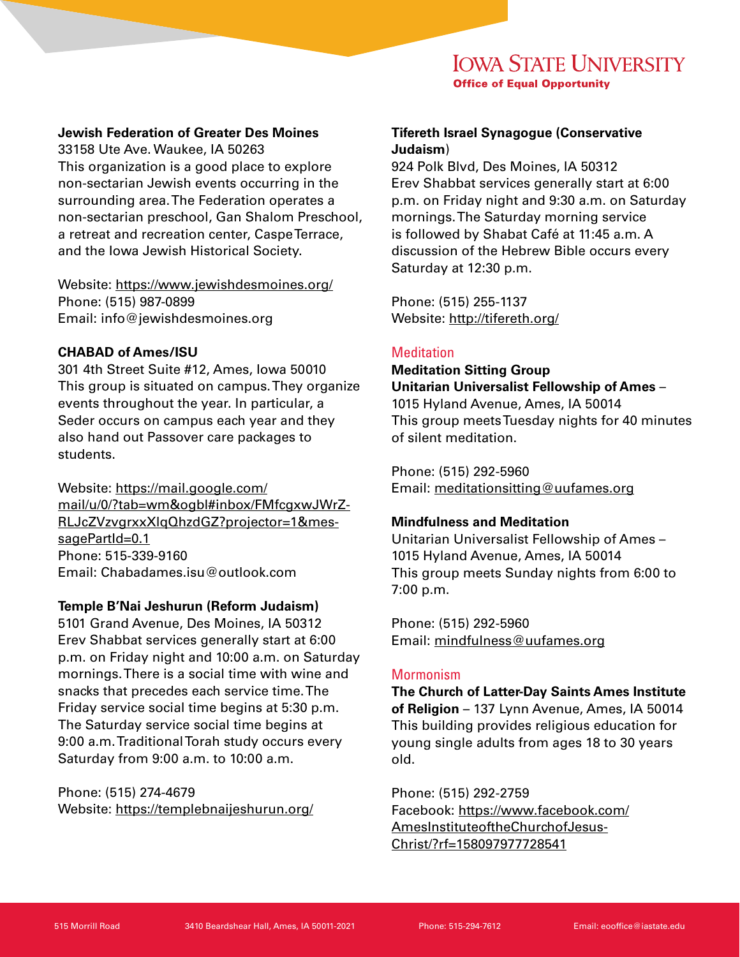## **Jewish Federation of Greater Des Moines**

33158 Ute Ave. Waukee, IA 50263 This organization is a good place to explore non-sectarian Jewish events occurring in the surrounding area. The Federation operates a non-sectarian preschool, Gan Shalom Preschool, a retreat and recreation center, Caspe Terrace, and the Iowa Jewish Historical Society.

Website: <https://www.jewishdesmoines.org/> Phone: (515) 987-0899 Email: info@jewishdesmoines.org

## **CHABAD of Ames/ISU**

301 4th Street Suite #12, Ames, Iowa 50010 This group is situated on campus. They organize events throughout the year. In particular, a Seder occurs on campus each year and they also hand out Passover care packages to students.

Website: [https://mail.google.com/](https://mail.google.com/mail/u/0/?tab=wm&ogbl#inbox/FMfcgxwJWrZRLJcZVzvgrxxXlqQhzdGZ?projector=1&mes) [mail/u/0/?tab=wm&ogbl#inbox/FMfcgxwJWrZ-](https://mail.google.com/mail/u/0/?tab=wm&ogbl#inbox/FMfcgxwJWrZRLJcZVzvgrxxXlqQhzdGZ?projector=1&mes)[RLJcZVzvgrxxXlqQhzdGZ?projector=1&mes](https://mail.google.com/mail/u/0/?tab=wm&ogbl#inbox/FMfcgxwJWrZRLJcZVzvgrxxXlqQhzdGZ?projector=1&mes)[sagePartId=0.1](https://mail.google.com/mail/u/0/?tab=wm&ogbl#inbox/FMfcgxwJWrZRLJcZVzvgrxxXlqQhzdGZ?projector=1&mes) Phone: 515-339-9160 Email: Chabadames.isu@outlook.com

## **Temple B'Nai Jeshurun (Reform Judaism)**

5101 Grand Avenue, Des Moines, IA 50312 Erev Shabbat services generally start at 6:00 p.m. on Friday night and 10:00 a.m. on Saturday mornings. There is a social time with wine and snacks that precedes each service time. The Friday service social time begins at 5:30 p.m. The Saturday service social time begins at 9:00 a.m. Traditional Torah study occurs every Saturday from 9:00 a.m. to 10:00 a.m.

Phone: (515) 274-4679 Website: <https://templebnaijeshurun.org/>

# **Tifereth Israel Synagogue (Conservative Judaism**)

924 Polk Blvd, Des Moines, IA 50312 Erev Shabbat services generally start at 6:00 p.m. on Friday night and 9:30 a.m. on Saturday mornings. The Saturday morning service is followed by Shabat Café at 11:45 a.m. A discussion of the Hebrew Bible occurs every Saturday at 12:30 p.m.

Phone: (515) 255-1137 Website: <http://tifereth.org/>

## **Meditation**

**Meditation Sitting Group Unitarian Universalist Fellowship of Ames** – 1015 Hyland Avenue, Ames, IA 50014 This group meets Tuesday nights for 40 minutes of silent meditation.

Phone: (515) 292-5960 Email: [meditationsitting@uufames.org](mailto:meditationsitting@uufames.org )

## **Mindfulness and Meditation**

Unitarian Universalist Fellowship of Ames – 1015 Hyland Avenue, Ames, IA 50014 This group meets Sunday nights from 6:00 to 7:00 p.m.

Phone: (515) 292-5960 Email: mindfulness@uufames.org

## **Mormonism**

**The Church of Latter-Day Saints Ames Institute of Religion** – 137 Lynn Avenue, Ames, IA 50014 This building provides religious education for young single adults from ages 18 to 30 years old.

Phone: (515) 292-2759 Facebook: [https://www.facebook.com/](https://www.facebook.com/AmesInstituteoftheChurchofJesusChrist/?rf=158097977728541 ) [AmesInstituteoftheChurchofJesus-](https://www.facebook.com/AmesInstituteoftheChurchofJesusChrist/?rf=158097977728541 )[Christ/?rf=158097977728541](https://www.facebook.com/AmesInstituteoftheChurchofJesusChrist/?rf=158097977728541 )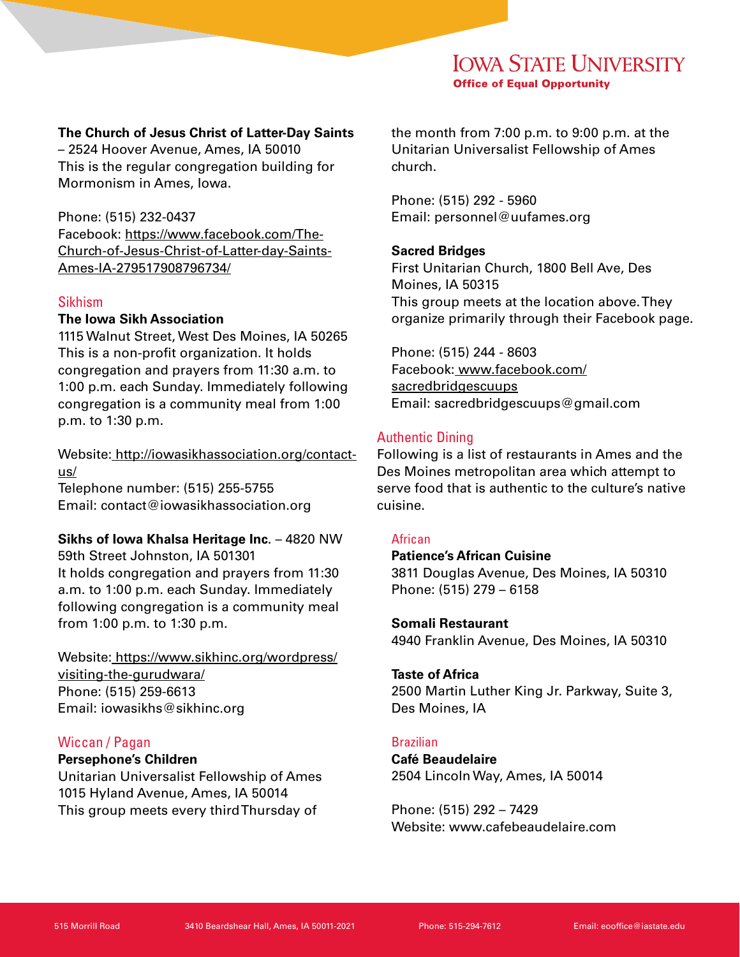## **The Church of Jesus Christ of Latter-Day Saints**

– 2524 Hoover Avenue, Ames, IA 50010 This is the regular congregation building for Mormonism in Ames, Iowa.

Phone: (515) 232-0437 Facebook: [https://www.facebook.com/The-](https://www.facebook.com/The-Church-of-Jesus-Christ-of-Latter-day-Saints-Ames-IA-279517908796734/)[Church-of-Jesus-Christ-of-Latter-day-Saints-](https://www.facebook.com/The-Church-of-Jesus-Christ-of-Latter-day-Saints-Ames-IA-279517908796734/)[Ames-IA-279517908796734/](https://www.facebook.com/The-Church-of-Jesus-Christ-of-Latter-day-Saints-Ames-IA-279517908796734/)

#### Sikhism

# **The Iowa Sikh Association**

1115 Walnut Street, West Des Moines, IA 50265 This is a non-profit organization. It holds congregation and prayers from 11:30 a.m. to 1:00 p.m. each Sunday. Immediately following congregation is a community meal from 1:00 p.m. to 1:30 p.m.

Website: [http://iowasikhassociation.org/contact](http://iowasikhassociation.org/contact-us/)[us/](http://iowasikhassociation.org/contact-us/) Telephone number: (515) 255-5755 Email: contact@iowasikhassociation.org

## **Sikhs of Iowa Khalsa Heritage Inc**. – 4820 NW

59th Street Johnston, IA 501301 It holds congregation and prayers from 11:30 a.m. to 1:00 p.m. each Sunday. Immediately following congregation is a community meal from 1:00 p.m. to 1:30 p.m.

Website: [https://www.sikhinc.org/wordpress/](https://www.sikhinc.org/wordpress/visiting-the-gurudwara/) [visiting-the-gurudwara/](https://www.sikhinc.org/wordpress/visiting-the-gurudwara/) Phone: (515) 259-6613 Email: iowasikhs@sikhinc.org

## Wiccan / Pagan

#### **Persephone's Children**

Unitarian Universalist Fellowship of Ames 1015 Hyland Avenue, Ames, IA 50014 This group meets every third Thursday of

the month from 7:00 p.m. to 9:00 p.m. at the Unitarian Universalist Fellowship of Ames church.

Phone: (515) 292 - 5960 Email: personnel@uufames.org

#### **Sacred Bridges**

First Unitarian Church, 1800 Bell Ave, Des Moines, IA 50315 This group meets at the location above. They organize primarily through their Facebook page.

Phone: (515) 244 - 8603 Facebook: [www.facebook.com/](http://www.facebook.com/sacredbridgescuups) [sacredbridgescuups](http://www.facebook.com/sacredbridgescuups) Email: sacredbridgescuups@gmail.com

## Authentic Dining

Following is a list of restaurants in Ames and the Des Moines metropolitan area which attempt to serve food that is authentic to the culture's native cuisine.

## **African**

**Patience's African Cuisine**  3811 Douglas Avenue, Des Moines, IA 50310 Phone: (515) 279 – 6158

#### **Somali Restaurant**

4940 Franklin Avenue, Des Moines, IA 50310

#### **Taste of Africa**

2500 Martin Luther King Jr. Parkway, Suite 3, Des Moines, IA

#### Brazilian

**Café Beaudelaire** 2504 Lincoln Way, Ames, IA 50014

Phone: (515) 292 – 7429 Website: www.cafebeaudelaire.com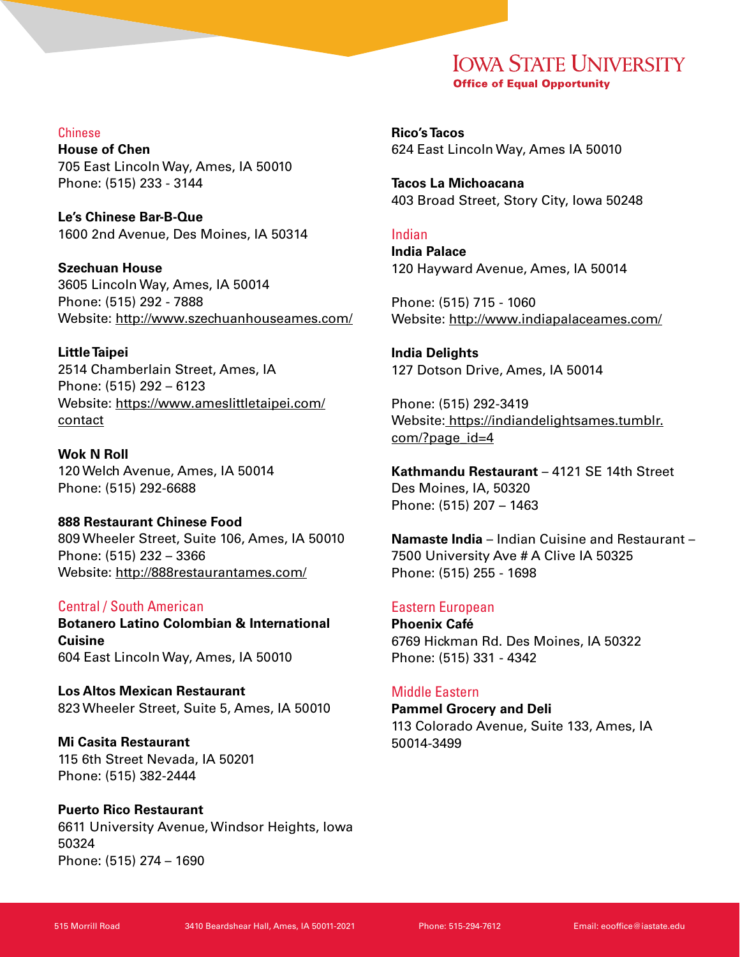Chinese

**House of Chen** 705 East Lincoln Way, Ames, IA 50010 Phone: (515) 233 - 3144

**Le's Chinese Bar-B-Que** 1600 2nd Avenue, Des Moines, IA 50314

**Szechuan House** 3605 Lincoln Way, Ames, IA 50014 Phone: (515) 292 - 7888 Website: <http://www.szechuanhouseames.com/>

**Little Taipei** 2514 Chamberlain Street, Ames, IA Phone: (515) 292 – 6123 Website: [https://www.ameslittletaipei.com/](https://www.ameslittletaipei.com/contact ) [contact](https://www.ameslittletaipei.com/contact )

**Wok N Roll** 120 Welch Avenue, Ames, IA 50014 Phone: (515) 292-6688

**888 Restaurant Chinese Food** 809 Wheeler Street, Suite 106, Ames, IA 50010 Phone: (515) 232 – 3366 Website: <http://888restaurantames.com/>

## Central / South American

**Botanero Latino Colombian & International Cuisine**  604 East Lincoln Way, Ames, IA 50010

**Los Altos Mexican Restaurant** 823 Wheeler Street, Suite 5, Ames, IA 50010

**Mi Casita Restaurant** 115 6th Street Nevada, IA 50201 Phone: (515) 382-2444

**Puerto Rico Restaurant** 6611 University Avenue, Windsor Heights, Iowa 50324 Phone: (515) 274 – 1690

**Rico's Tacos** 624 East Lincoln Way, Ames IA 50010

**Tacos La Michoacana** 403 Broad Street, Story City, Iowa 50248

## Indian

**India Palace** 120 Hayward Avenue, Ames, IA 50014

Phone: (515) 715 - 1060 Website: <http://www.indiapalaceames.com/>

**India Delights** 127 Dotson Drive, Ames, IA 50014

Phone: (515) 292-3419 Website: [https://indiandelightsames.tumblr.](https://indiandelightsames.tumblr.com/?page_id=4 ) [com/?page\\_id=4](https://indiandelightsames.tumblr.com/?page_id=4 )

**Kathmandu Restaurant** – 4121 SE 14th Street Des Moines, IA, 50320 Phone: (515) 207 – 1463

**Namaste India** – Indian Cuisine and Restaurant – 7500 University Ave # A Clive IA 50325 Phone: (515) 255 - 1698

## Eastern European

**Phoenix Café** 6769 Hickman Rd. Des Moines, IA 50322 Phone: (515) 331 - 4342

## Middle Eastern

**Pammel Grocery and Deli** 113 Colorado Avenue, Suite 133, Ames, IA 50014-3499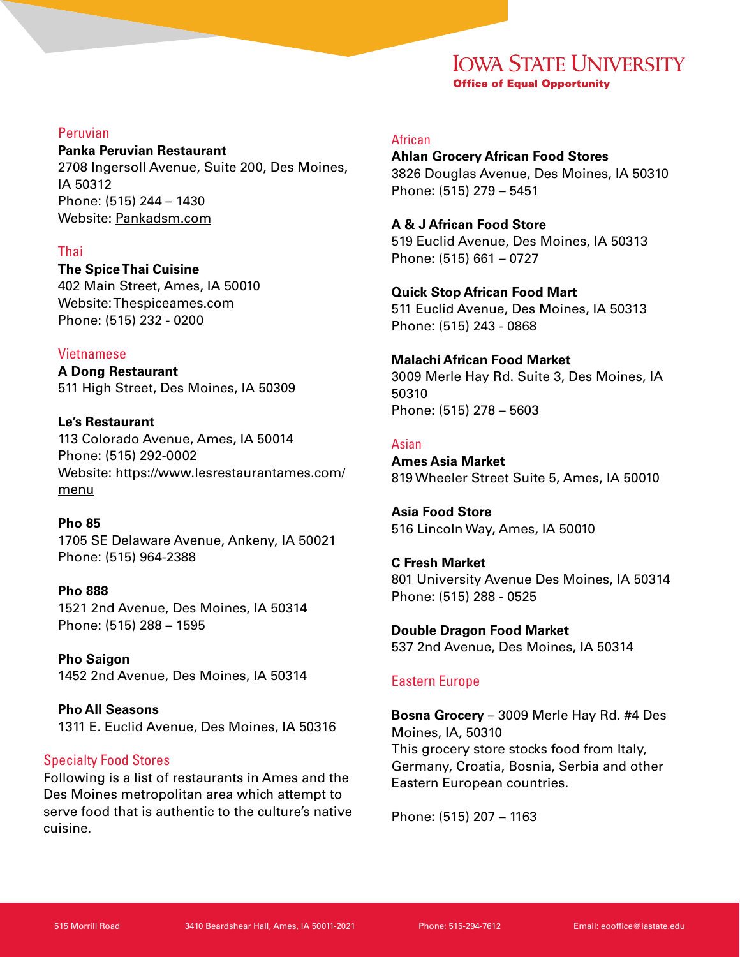## Peruvian

**Panka Peruvian Restaurant** 2708 Ingersoll Avenue, Suite 200, Des Moines, IA 50312 Phone: (515) 244 – 1430 Website: Pankadsm.com

## Thai

**The Spice Thai Cuisine** 402 Main Street, Ames, IA 50010 Website: Thespiceames.com Phone: (515) 232 - 0200

## Vietnamese

**A Dong Restaurant** 511 High Street, Des Moines, IA 50309

**Le's Restaurant** 113 Colorado Avenue, Ames, IA 50014 Phone: (515) 292-0002 Website: https://www.lesrestaurantames.com/ menu

**Pho 85** 1705 SE Delaware Avenue, Ankeny, IA 50021 Phone: (515) 964-2388

**Pho 888** 1521 2nd Avenue, Des Moines, IA 50314 Phone: (515) 288 – 1595

**Pho Saigon** 1452 2nd Avenue, Des Moines, IA 50314

**Pho All Seasons** 1311 E. Euclid Avenue, Des Moines, IA 50316

#### Specialty Food Stores

Following is a list of restaurants in Ames and the Des Moines metropolitan area which attempt to serve food that is authentic to the culture's native cuisine.

# African

**Ahlan Grocery African Food Stores** 3826 Douglas Avenue, Des Moines, IA 50310 Phone: (515) 279 – 5451

## **A & J African Food Store**

519 Euclid Avenue, Des Moines, IA 50313 Phone: (515) 661 – 0727

**Quick Stop African Food Mart** 511 Euclid Avenue, Des Moines, IA 50313 Phone: (515) 243 - 0868

**Malachi African Food Market** 3009 Merle Hay Rd. Suite 3, Des Moines, IA 50310 Phone: (515) 278 – 5603

## Asian

**Ames Asia Market** 819 Wheeler Street Suite 5, Ames, IA 50010

**Asia Food Store** 516 Lincoln Way, Ames, IA 50010

**C Fresh Market** 801 University Avenue Des Moines, IA 50314 Phone: (515) 288 - 0525

**Double Dragon Food Market** 537 2nd Avenue, Des Moines, IA 50314

## Eastern Europe

**Bosna Grocery** – 3009 Merle Hay Rd. #4 Des Moines, IA, 50310 This grocery store stocks food from Italy, Germany, Croatia, Bosnia, Serbia and other Eastern European countries.

Phone: (515) 207 – 1163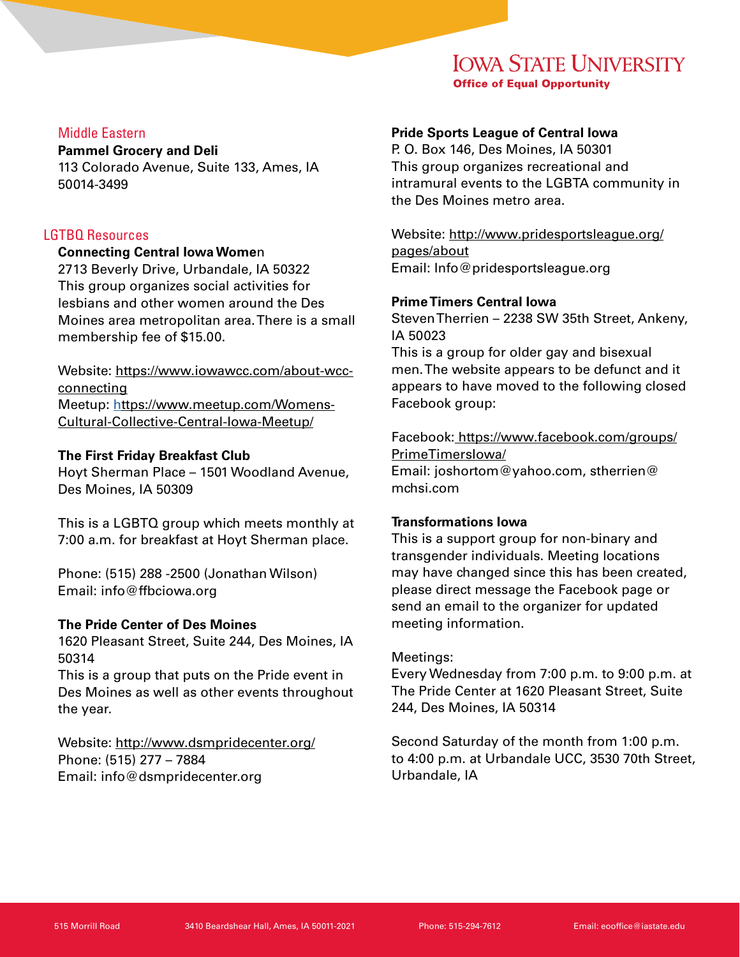## Middle Eastern

#### **Pammel Grocery and Deli**

113 Colorado Avenue, Suite 133, Ames, IA 50014-3499

## LGTBQ Resources

### **Connecting Central Iowa Wome**n

2713 Beverly Drive, Urbandale, IA 50322 This group organizes social activities for lesbians and other women around the Des Moines area metropolitan area. There is a small membership fee of \$15.00.

Website: [https://www.iowawcc.com/about-wcc](https://www.iowawcc.com/about-wcc-connecting )[connecting](https://www.iowawcc.com/about-wcc-connecting ) Meetup: [https://www.meetup.com/Womens-](https://www.meetup.com/Womens-Cultural-Collective-Central-Iowa-Meetup/)[Cultural-Collective-Central-Iowa-Meetup/](https://www.meetup.com/Womens-Cultural-Collective-Central-Iowa-Meetup/)

## **The First Friday Breakfast Club**

Hoyt Sherman Place – 1501 Woodland Avenue, Des Moines, IA 50309

This is a LGBTQ group which meets monthly at 7:00 a.m. for breakfast at Hoyt Sherman place.

Phone: (515) 288 -2500 (Jonathan Wilson) Email: info@ffbciowa.org

## **The Pride Center of Des Moines**

1620 Pleasant Street, Suite 244, Des Moines, IA 50314

This is a group that puts on the Pride event in Des Moines as well as other events throughout the year.

Website: <http://www.dsmpridecenter.org/> Phone: (515) 277 – 7884 Email: info@dsmpridecenter.org

## **Pride Sports League of Central Iowa**

P. O. Box 146, Des Moines, IA 50301 This group organizes recreational and intramural events to the LGBTA community in the Des Moines metro area.

Website: [http://www.pridesportsleague.org/](http://www.pridesportsleague.org/pages/about) [pages/about](http://www.pridesportsleague.org/pages/about) Email: Info@pridesportsleague.org

## **Prime Timers Central Iowa**

Steven Therrien – 2238 SW 35th Street, Ankeny, IA 50023

This is a group for older gay and bisexual men. The website appears to be defunct and it appears to have moved to the following closed Facebook group:

Facebook: [https://www.facebook.com/groups/](https://www.facebook.com/groups/PrimeTimersIowa/) [PrimeTimersIowa/](https://www.facebook.com/groups/PrimeTimersIowa/) Email: joshortom@yahoo.com, stherrien@ mchsi.com

## **Transformations Iowa**

This is a support group for non-binary and transgender individuals. Meeting locations may have changed since this has been created, please direct message the Facebook page or send an email to the organizer for updated meeting information.

# Meetings:

Every Wednesday from 7:00 p.m. to 9:00 p.m. at The Pride Center at 1620 Pleasant Street, Suite 244, Des Moines, IA 50314

Second Saturday of the month from 1:00 p.m. to 4:00 p.m. at Urbandale UCC, 3530 70th Street, Urbandale, IA